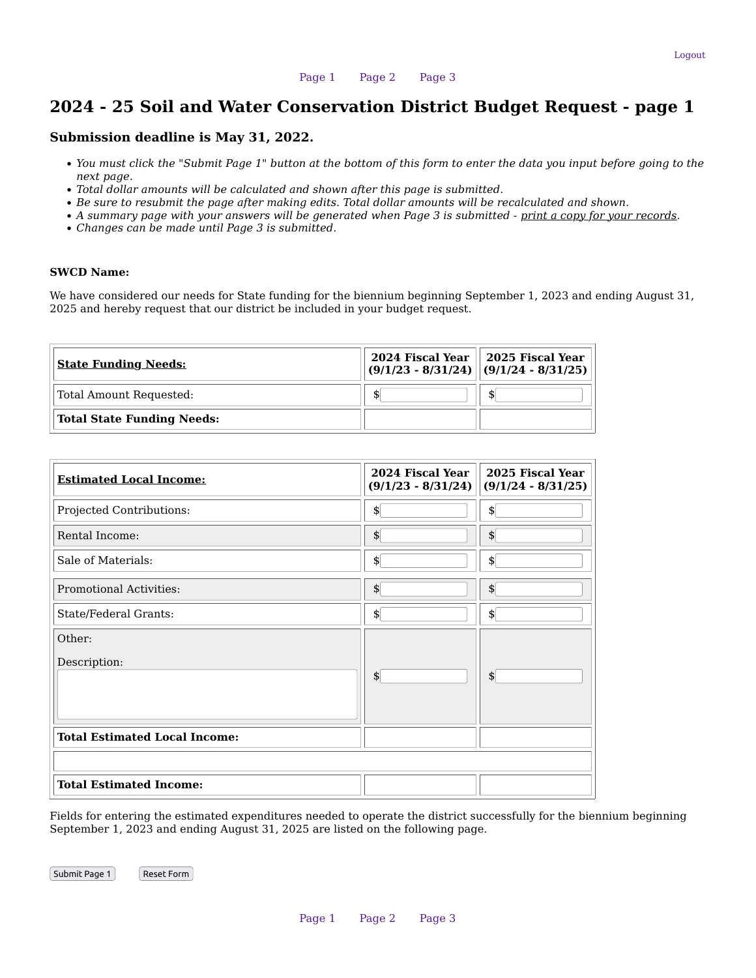# 2024 - 25 Soil and Water Conservation District Budget Request - page 1

### Submission deadline is May 31, 2022.

- You must click the "Submit Page 1" button at the bottom of this form to enter the data you input before going to the next page.
- Total dollar amounts will be calculated and shown after this page is submitted.
- Be sure to resubmit the page after making edits. Total dollar amounts will be recalculated and shown.
- A summary page with your answers will be generated when Page 3 is submitted print a copy for your records.
- Changes can be made until Page 3 is submitted.

### SWCD Name:

We have considered our needs for State funding for the biennium beginning September 1, 2023 and ending August 31, 2025 and hereby request that our district be included in your budget request.

| <b>State Funding Needs:</b>       | $2024$ Fiscal Year $  $ 2025 Fiscal Year<br>$(9/1/23 - 8/31/24)$ $(9/1/24 - 8/31/25)$ |    |
|-----------------------------------|---------------------------------------------------------------------------------------|----|
| Total Amount Requested:           | S                                                                                     | \$ |
| <b>Total State Funding Needs:</b> |                                                                                       |    |

| <b>Estimated Local Income:</b>       | 2024 Fiscal Year<br>$(9/1/23 - 8/31/24)$ | 2025 Fiscal Year<br>$(9/1/24 - 8/31/25)$ |
|--------------------------------------|------------------------------------------|------------------------------------------|
| Projected Contributions:             | \$                                       | \$                                       |
| Rental Income:                       | \$                                       | \$                                       |
| Sale of Materials:                   | \$                                       | \$                                       |
| <b>Promotional Activities:</b>       | \$                                       | \$                                       |
| State/Federal Grants:                | \$                                       | \$                                       |
| Other:                               |                                          |                                          |
| Description:                         |                                          |                                          |
|                                      | \$                                       | \$                                       |
| <b>Total Estimated Local Income:</b> |                                          |                                          |
|                                      |                                          |                                          |
| <b>Total Estimated Income:</b>       |                                          |                                          |

Fields for entering the estimated expenditures needed to operate the district successfully for the biennium beginning September 1, 2023 and ending August 31, 2025 are listed on the following page.

Submit Page 1 | Reset Form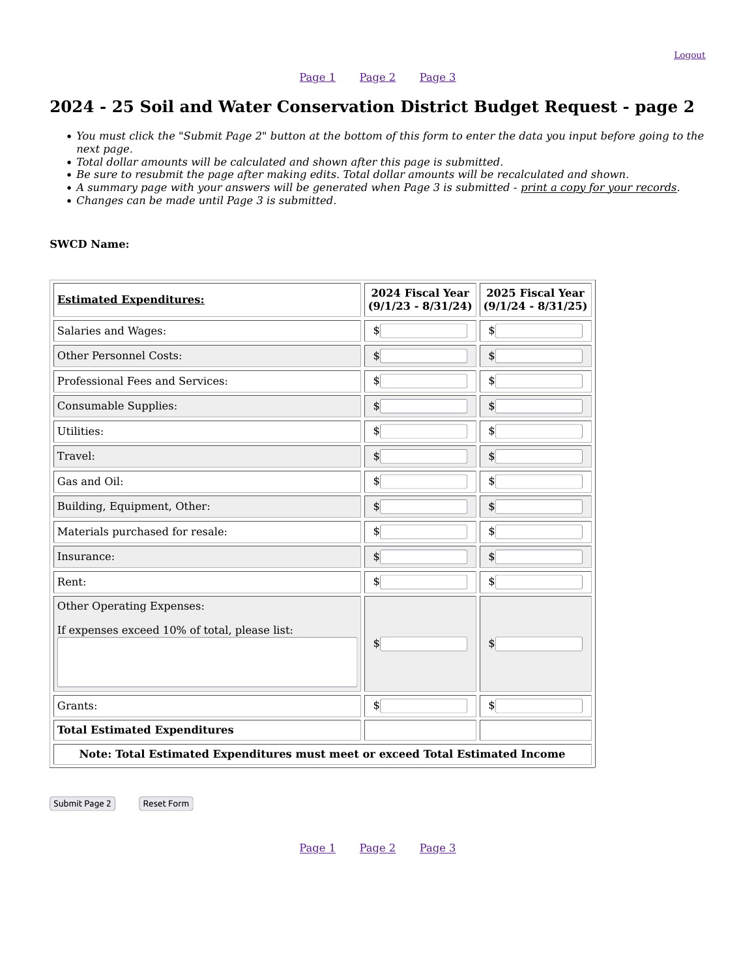[Page 1](https://www.swcd.tsswcb.texas.gov/request/budget.php) [Page 2](https://www.swcd.tsswcb.texas.gov/request/budget2.php) [Page 3](https://www.swcd.tsswcb.texas.gov/request/budget3.php)

# 2024 - 25 Soil and Water Conservation District Budget Request - page 2

- You must click the "Submit Page 2" button at the bottom of this form to enter the data you input before going to the next page.
- Total dollar amounts will be calculated and shown after this page is submitted.
- Be sure to resubmit the page after making edits. Total dollar amounts will be recalculated and shown.
- A summary page with your answers will be generated when Page 3 is submitted print a copy for your records.
- Changes can be made until Page 3 is submitted.

### SWCD Name:

| <b>Estimated Expenditures:</b>                                                | 2024 Fiscal Year<br>$(9/1/23 - 8/31/24)$ | 2025 Fiscal Year<br>$(9/1/24 - 8/31/25)$ |  |
|-------------------------------------------------------------------------------|------------------------------------------|------------------------------------------|--|
| Salaries and Wages:                                                           | $\left  \right\rangle$                   | $\frac{1}{2}$                            |  |
| <b>Other Personnel Costs:</b>                                                 | \$                                       | \$                                       |  |
| Professional Fees and Services:                                               | \$                                       | \$                                       |  |
| Consumable Supplies:                                                          | \$                                       | $\boldsymbol{\mathsf{S}}$                |  |
| Utilities:                                                                    | \$                                       | \$                                       |  |
| Travel:                                                                       | \$                                       | \$                                       |  |
| Gas and Oil:                                                                  | \$                                       | \$                                       |  |
| Building, Equipment, Other:                                                   | \$                                       | \$                                       |  |
| Materials purchased for resale:                                               | \$                                       | \$                                       |  |
| Insurance:                                                                    | \$                                       | \$                                       |  |
| Rent:                                                                         | \$                                       | \$                                       |  |
| Other Operating Expenses:<br>If expenses exceed 10% of total, please list:    | \$                                       | \$                                       |  |
| Grants:                                                                       | $\boldsymbol{\mathsf{S}}$                | \$                                       |  |
| <b>Total Estimated Expenditures</b>                                           |                                          |                                          |  |
| Note: Total Estimated Expenditures must meet or exceed Total Estimated Income |                                          |                                          |  |

Submit Page 2 Reset Form

[Page 1](https://www.swcd.tsswcb.texas.gov/request/budget.php) [Page 2](https://www.swcd.tsswcb.texas.gov/request/budget2.php) [Page 3](https://www.swcd.tsswcb.texas.gov/request/budget3.php)